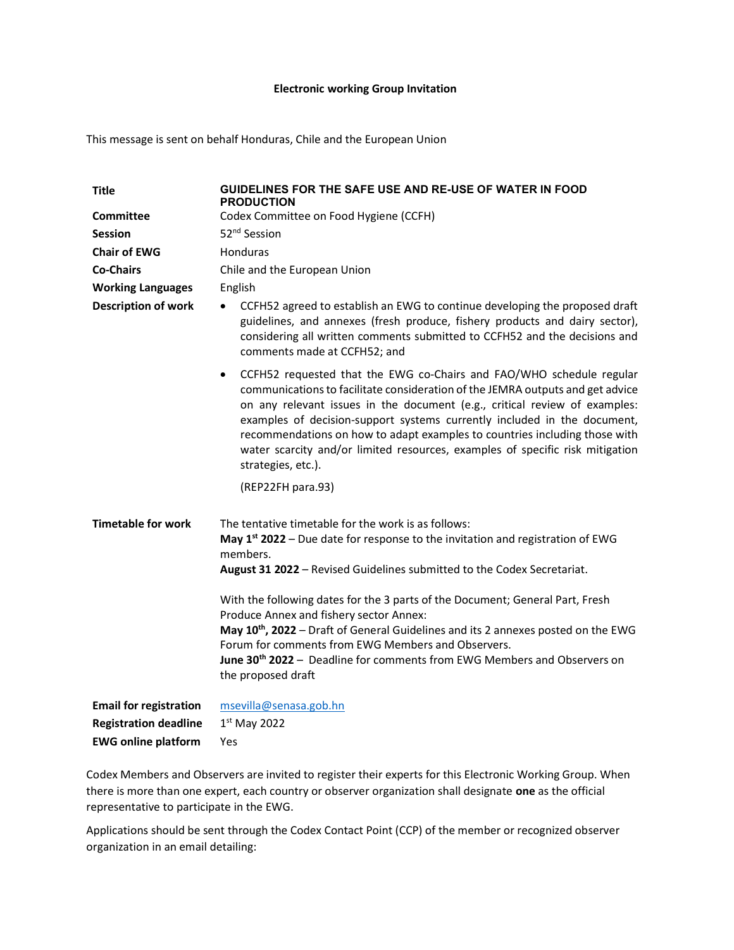### Electronic working Group Invitation

This message is sent on behalf Honduras, Chile and the European Union

| <b>Title</b>                  | GUIDELINES FOR THE SAFE USE AND RE-USE OF WATER IN FOOD<br><b>PRODUCTION</b>                                                                                                                                                                                                                                                                                                                                                                                                                                                                                                                                                    |
|-------------------------------|---------------------------------------------------------------------------------------------------------------------------------------------------------------------------------------------------------------------------------------------------------------------------------------------------------------------------------------------------------------------------------------------------------------------------------------------------------------------------------------------------------------------------------------------------------------------------------------------------------------------------------|
| <b>Committee</b>              | Codex Committee on Food Hygiene (CCFH)                                                                                                                                                                                                                                                                                                                                                                                                                                                                                                                                                                                          |
| <b>Session</b>                | 52 <sup>nd</sup> Session                                                                                                                                                                                                                                                                                                                                                                                                                                                                                                                                                                                                        |
| <b>Chair of EWG</b>           | Honduras                                                                                                                                                                                                                                                                                                                                                                                                                                                                                                                                                                                                                        |
| <b>Co-Chairs</b>              | Chile and the European Union                                                                                                                                                                                                                                                                                                                                                                                                                                                                                                                                                                                                    |
| <b>Working Languages</b>      | English                                                                                                                                                                                                                                                                                                                                                                                                                                                                                                                                                                                                                         |
| <b>Description of work</b>    | CCFH52 agreed to establish an EWG to continue developing the proposed draft<br>٠<br>guidelines, and annexes (fresh produce, fishery products and dairy sector),<br>considering all written comments submitted to CCFH52 and the decisions and<br>comments made at CCFH52; and                                                                                                                                                                                                                                                                                                                                                   |
|                               | CCFH52 requested that the EWG co-Chairs and FAO/WHO schedule regular<br>$\bullet$<br>communications to facilitate consideration of the JEMRA outputs and get advice<br>on any relevant issues in the document (e.g., critical review of examples:<br>examples of decision-support systems currently included in the document,<br>recommendations on how to adapt examples to countries including those with<br>water scarcity and/or limited resources, examples of specific risk mitigation<br>strategies, etc.).                                                                                                              |
|                               | (REP22FH para.93)                                                                                                                                                                                                                                                                                                                                                                                                                                                                                                                                                                                                               |
| <b>Timetable for work</b>     | The tentative timetable for the work is as follows:<br>May $1st 2022$ – Due date for response to the invitation and registration of EWG<br>members.<br>August 31 2022 - Revised Guidelines submitted to the Codex Secretariat.<br>With the following dates for the 3 parts of the Document; General Part, Fresh<br>Produce Annex and fishery sector Annex:<br>May 10 <sup>th</sup> , 2022 - Draft of General Guidelines and its 2 annexes posted on the EWG<br>Forum for comments from EWG Members and Observers.<br>June 30 <sup>th</sup> 2022 - Deadline for comments from EWG Members and Observers on<br>the proposed draft |
|                               |                                                                                                                                                                                                                                                                                                                                                                                                                                                                                                                                                                                                                                 |
| <b>Email for registration</b> | msevilla@senasa.gob.hn                                                                                                                                                                                                                                                                                                                                                                                                                                                                                                                                                                                                          |
| <b>Registration deadline</b>  | $1st$ May 2022                                                                                                                                                                                                                                                                                                                                                                                                                                                                                                                                                                                                                  |
| <b>EWG online platform</b>    | Yes                                                                                                                                                                                                                                                                                                                                                                                                                                                                                                                                                                                                                             |

Codex Members and Observers are invited to register their experts for this Electronic Working Group. When there is more than one expert, each country or observer organization shall designate one as the official representative to participate in the EWG.

Applications should be sent through the Codex Contact Point (CCP) of the member or recognized observer organization in an email detailing: